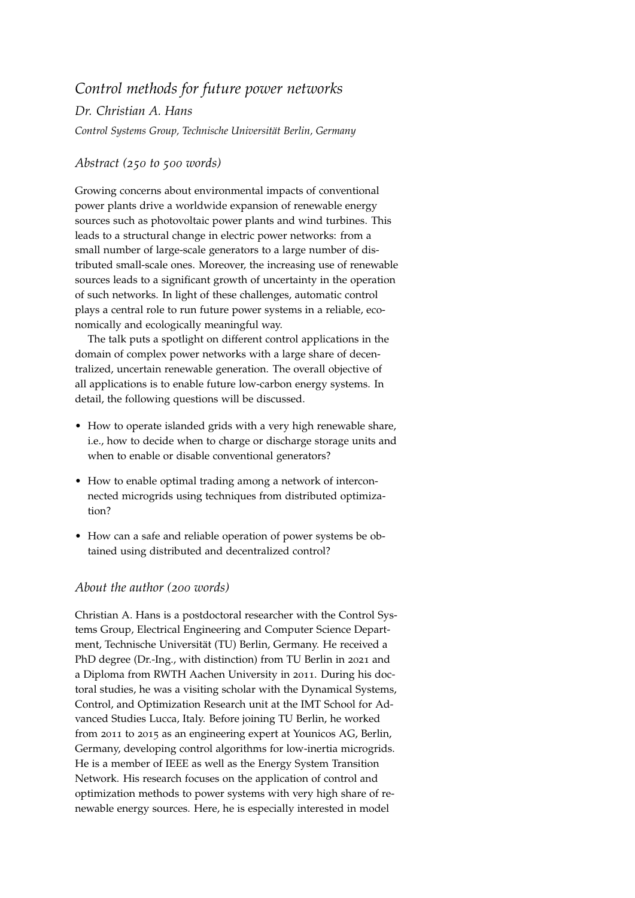## *Control methods for future power networks*

*Dr. Christian A. Hans Control Systems Group, Technische Universität Berlin, Germany*

## *Abstract (250 to 500 words)*

Growing concerns about environmental impacts of conventional power plants drive a worldwide expansion of renewable energy sources such as photovoltaic power plants and wind turbines. This leads to a structural change in electric power networks: from a small number of large-scale generators to a large number of distributed small-scale ones. Moreover, the increasing use of renewable sources leads to a significant growth of uncertainty in the operation of such networks. In light of these challenges, automatic control plays a central role to run future power systems in a reliable, economically and ecologically meaningful way.

The talk puts a spotlight on different control applications in the domain of complex power networks with a large share of decentralized, uncertain renewable generation. The overall objective of all applications is to enable future low-carbon energy systems. In detail, the following questions will be discussed.

- How to operate islanded grids with a very high renewable share, i.e., how to decide when to charge or discharge storage units and when to enable or disable conventional generators?
- How to enable optimal trading among a network of interconnected microgrids using techniques from distributed optimization?
- How can a safe and reliable operation of power systems be obtained using distributed and decentralized control?

## *About the author (200 words)*

Christian A. Hans is a postdoctoral researcher with the Control Systems Group, Electrical Engineering and Computer Science Department, Technische Universität (TU) Berlin, Germany. He received a PhD degree (Dr.-Ing., with distinction) from TU Berlin in 2021 and a Diploma from RWTH Aachen University in 2011. During his doctoral studies, he was a visiting scholar with the Dynamical Systems, Control, and Optimization Research unit at the IMT School for Advanced Studies Lucca, Italy. Before joining TU Berlin, he worked from 2011 to 2015 as an engineering expert at Younicos AG, Berlin, Germany, developing control algorithms for low-inertia microgrids. He is a member of IEEE as well as the Energy System Transition Network. His research focuses on the application of control and optimization methods to power systems with very high share of renewable energy sources. Here, he is especially interested in model